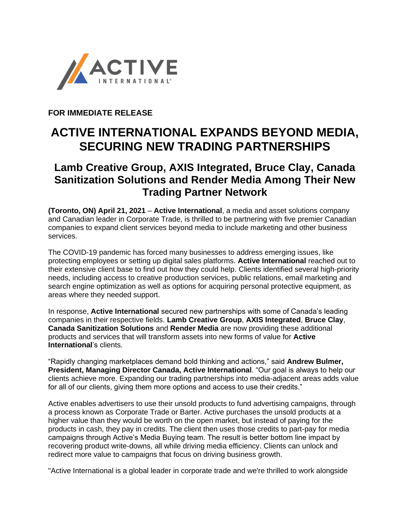

**FOR IMMEDIATE RELEASE**

## **ACTIVE INTERNATIONAL EXPANDS BEYOND MEDIA, SECURING NEW TRADING PARTNERSHIPS**

## **Lamb Creative Group, AXIS Integrated, Bruce Clay, Canada Sanitization Solutions and Render Media Among Their New Trading Partner Network**

**(Toronto, ON) April 21, 2021** – **Active International**, a media and asset solutions company and Canadian leader in Corporate Trade, is thrilled to be partnering with five premier Canadian companies to expand client services beyond media to include marketing and other business services.

The COVID-19 pandemic has forced many businesses to address emerging issues, like protecting employees or setting up digital sales platforms. **Active International** reached out to their extensive client base to find out how they could help. Clients identified several high-priority needs, including access to creative production services, public relations, email marketing and search engine optimization as well as options for acquiring personal protective equipment, as areas where they needed support.

In response, **Active International** secured new partnerships with some of Canada's leading companies in their respective fields. **Lamb Creative Group**, **AXIS Integrated**, **Bruce Clay**, **Canada Sanitization Solutions** and **Render Media** are now providing these additional products and services that will transform assets into new forms of value for **Active International**'s clients.

"Rapidly changing marketplaces demand bold thinking and actions," said **Andrew Bulmer, President, Managing Director Canada, Active International**. "Our goal is always to help our clients achieve more. Expanding our trading partnerships into media-adjacent areas adds value for all of our clients, giving them more options and access to use their credits."

Active enables advertisers to use their unsold products to fund advertising campaigns, through a process known as Corporate Trade or Barter. Active purchases the unsold products at a higher value than they would be worth on the open market, but instead of paying for the products in cash, they pay in credits. The client then uses those credits to part-pay for media campaigns through Active's Media Buying team. The result is better bottom line impact by recovering product write-downs, all while driving media efficiency. Clients can unlock and redirect more value to campaigns that focus on driving business growth.

"Active International is a global leader in corporate trade and we're thrilled to work alongside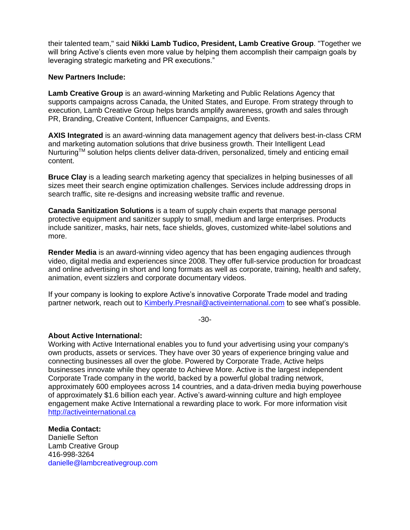their talented team," said **Nikki Lamb Tudico, President, Lamb Creative Group**. "Together we will bring Active's clients even more value by helping them accomplish their campaign goals by leveraging strategic marketing and PR executions."

## **New Partners Include:**

**Lamb Creative Group** is an award-winning Marketing and Public Relations Agency that supports campaigns across Canada, the United States, and Europe. From strategy through to execution, Lamb Creative Group helps brands amplify awareness, growth and sales through PR, Branding, Creative Content, Influencer Campaigns, and Events.

**AXIS Integrated** is an award-winning data management agency that delivers best-in-class CRM and marketing automation solutions that drive business growth. Their Intelligent Lead Nurturing™ solution helps clients deliver data-driven, personalized, timely and enticing email content.

**Bruce Clay** is a leading search marketing agency that specializes in helping businesses of all sizes meet their search engine optimization challenges. Services include addressing drops in search traffic, site re-designs and increasing website traffic and revenue.

**Canada Sanitization Solutions** is a team of supply chain experts that manage personal protective equipment and sanitizer supply to small, medium and large enterprises. Products include sanitizer, masks, hair nets, face shields, gloves, customized white-label solutions and more.

**Render Media** is an award-winning video agency that has been engaging audiences through video, digital media and experiences since 2008. They offer full-service production for broadcast and online advertising in short and long formats as well as corporate, training, health and safety, animation, event sizzlers and corporate documentary videos.

If your company is looking to explore Active's innovative Corporate Trade model and trading partner network, reach out to **Kimberly.Presnail@activeinternational.com** to see what's possible.

-30-

## **About Active International:**

Working with Active International enables you to fund your advertising using your company's own products, assets or services. They have over 30 years of experience bringing value and connecting businesses all over the globe. Powered by Corporate Trade, Active helps businesses innovate while they operate to Achieve More. Active is the largest independent Corporate Trade company in the world, backed by a powerful global trading network, approximately 600 employees across 14 countries, and a data-driven media buying powerhouse of approximately \$1.6 billion each year. Active's award-winning culture and high employee engagement make Active International a rewarding place to work. For more information visit [http://activeinternational.ca](http://activeinternational.ca/)

**Media Contact:** Danielle Sefton Lamb Creative Group 416-998-3264 danielle@lambcreativegroup.com